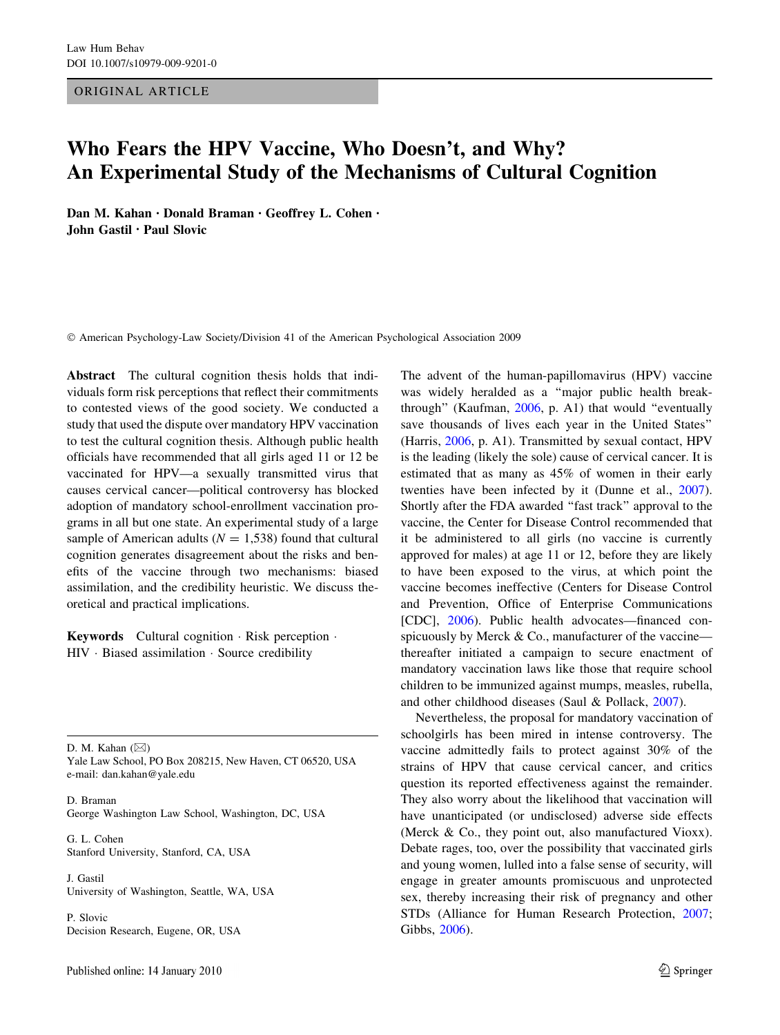# ORIGINAL ARTICLE

# Who Fears the HPV Vaccine, Who Doesn't, and Why? An Experimental Study of the Mechanisms of Cultural Cognition

Dan M. Kahan • Donald Braman • Geoffrey L. Cohen • John Gastil • Paul Slovic

! American Psychology-Law Society/Division 41 of the American Psychological Association 2009

Abstract The cultural cognition thesis holds that individuals form risk perceptions that reflect their commitments to contested views of the good society. We conducted a study that used the dispute over mandatory HPV vaccination to test the cultural cognition thesis. Although public health officials have recommended that all girls aged 11 or 12 be vaccinated for HPV—a sexually transmitted virus that causes cervical cancer—political controversy has blocked adoption of mandatory school-enrollment vaccination programs in all but one state. An experimental study of a large sample of American adults ( $N = 1,538$ ) found that cultural cognition generates disagreement about the risks and benefits of the vaccine through two mechanisms: biased assimilation, and the credibility heuristic. We discuss theoretical and practical implications.

Keywords Cultural cognition  $\cdot$  Risk perception  $\cdot$ HIV · Biased assimilation · Source credibility

D. M. Kahan  $(\boxtimes)$ 

Yale Law School, PO Box 208215, New Haven, CT 06520, USA e-mail: dan.kahan@yale.edu

D. Braman George Washington Law School, Washington, DC, USA

G. L. Cohen Stanford University, Stanford, CA, USA

J. Gastil University of Washington, Seattle, WA, USA

P. Slovic Decision Research, Eugene, OR, USA

The advent of the human-papillomavirus (HPV) vaccine was widely heralded as a ''major public health breakthrough'' (Kaufman, [2006](#page-15-0), p. A1) that would ''eventually save thousands of lives each year in the United States'' (Harris, [2006,](#page-14-0) p. A1). Transmitted by sexual contact, HPV is the leading (likely the sole) cause of cervical cancer. It is estimated that as many as 45% of women in their early twenties have been infected by it (Dunne et al., [2007](#page-14-0)). Shortly after the FDA awarded "fast track" approval to the vaccine, the Center for Disease Control recommended that it be administered to all girls (no vaccine is currently approved for males) at age 11 or 12, before they are likely to have been exposed to the virus, at which point the vaccine becomes ineffective (Centers for Disease Control and Prevention, Office of Enterprise Communications [CDC], [2006](#page-14-0)). Public health advocates—financed conspicuously by Merck & Co., manufacturer of the vaccine thereafter initiated a campaign to secure enactment of mandatory vaccination laws like those that require school children to be immunized against mumps, measles, rubella, and other childhood diseases (Saul & Pollack, [2007\)](#page-15-0).

Nevertheless, the proposal for mandatory vaccination of schoolgirls has been mired in intense controversy. The vaccine admittedly fails to protect against 30% of the strains of HPV that cause cervical cancer, and critics question its reported effectiveness against the remainder. They also worry about the likelihood that vaccination will have unanticipated (or undisclosed) adverse side effects (Merck & Co., they point out, also manufactured Vioxx). Debate rages, too, over the possibility that vaccinated girls and young women, lulled into a false sense of security, will engage in greater amounts promiscuous and unprotected sex, thereby increasing their risk of pregnancy and other STDs (Alliance for Human Research Protection, [2007](#page-14-0); Gibbs, [2006\)](#page-14-0).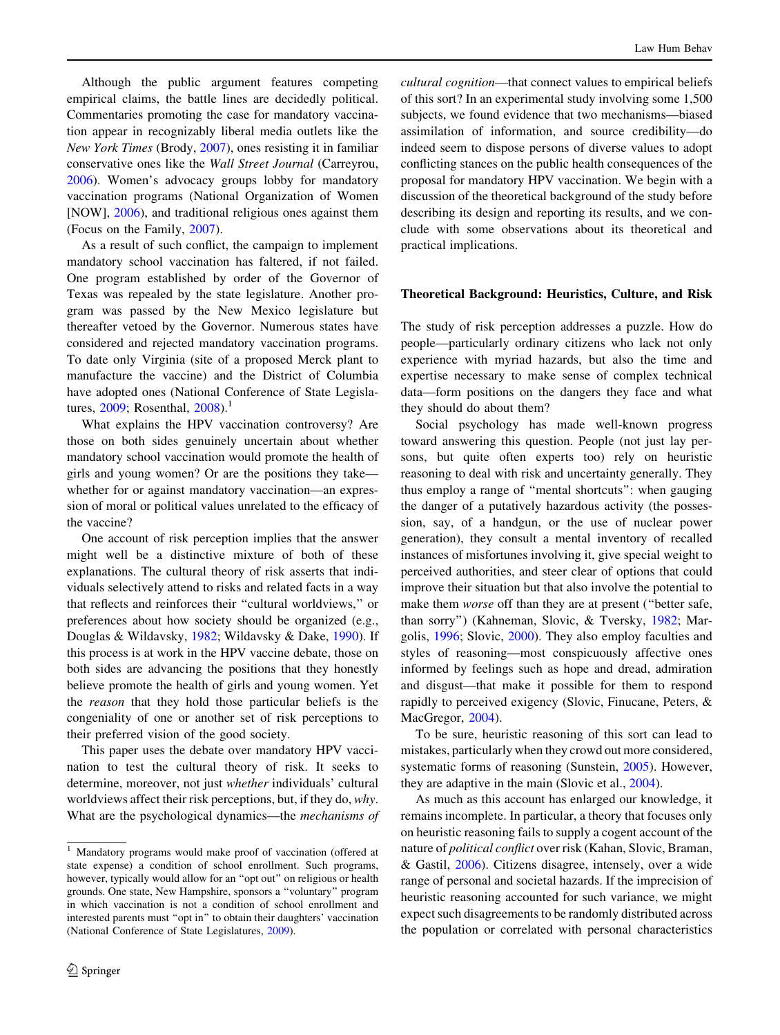Although the public argument features competing empirical claims, the battle lines are decidedly political. Commentaries promoting the case for mandatory vaccination appear in recognizably liberal media outlets like the New York Times (Brody, [2007\)](#page-14-0), ones resisting it in familiar conservative ones like the Wall Street Journal (Carreyrou, [2006\)](#page-14-0). Women's advocacy groups lobby for mandatory vaccination programs (National Organization of Women [NOW], [2006](#page-15-0)), and traditional religious ones against them (Focus on the Family, [2007\)](#page-14-0).

As a result of such conflict, the campaign to implement mandatory school vaccination has faltered, if not failed. One program established by order of the Governor of Texas was repealed by the state legislature. Another program was passed by the New Mexico legislature but thereafter vetoed by the Governor. Numerous states have considered and rejected mandatory vaccination programs. To date only Virginia (site of a proposed Merck plant to manufacture the vaccine) and the District of Columbia have adopted ones (National Conference of State Legislatures,  $2009$ ; Rosenthal,  $2008$ ).<sup>1</sup>

What explains the HPV vaccination controversy? Are those on both sides genuinely uncertain about whether mandatory school vaccination would promote the health of girls and young women? Or are the positions they take whether for or against mandatory vaccination—an expression of moral or political values unrelated to the efficacy of the vaccine?

One account of risk perception implies that the answer might well be a distinctive mixture of both of these explanations. The cultural theory of risk asserts that individuals selectively attend to risks and related facts in a way that reflects and reinforces their ''cultural worldviews,'' or preferences about how society should be organized (e.g., Douglas & Wildavsky, [1982;](#page-14-0) Wildavsky & Dake, [1990\)](#page-15-0). If this process is at work in the HPV vaccine debate, those on both sides are advancing the positions that they honestly believe promote the health of girls and young women. Yet the reason that they hold those particular beliefs is the congeniality of one or another set of risk perceptions to their preferred vision of the good society.

This paper uses the debate over mandatory HPV vaccination to test the cultural theory of risk. It seeks to determine, moreover, not just whether individuals' cultural worldviews affect their risk perceptions, but, if they do, why. What are the psychological dynamics—the *mechanisms of*  cultural cognition—that connect values to empirical beliefs of this sort? In an experimental study involving some 1,500 subjects, we found evidence that two mechanisms—biased assimilation of information, and source credibility—do indeed seem to dispose persons of diverse values to adopt conflicting stances on the public health consequences of the proposal for mandatory HPV vaccination. We begin with a discussion of the theoretical background of the study before describing its design and reporting its results, and we conclude with some observations about its theoretical and practical implications.

#### Theoretical Background: Heuristics, Culture, and Risk

The study of risk perception addresses a puzzle. How do people—particularly ordinary citizens who lack not only experience with myriad hazards, but also the time and expertise necessary to make sense of complex technical data—form positions on the dangers they face and what they should do about them?

Social psychology has made well-known progress toward answering this question. People (not just lay persons, but quite often experts too) rely on heuristic reasoning to deal with risk and uncertainty generally. They thus employ a range of ''mental shortcuts'': when gauging the danger of a putatively hazardous activity (the possession, say, of a handgun, or the use of nuclear power generation), they consult a mental inventory of recalled instances of misfortunes involving it, give special weight to perceived authorities, and steer clear of options that could improve their situation but that also involve the potential to make them *worse* off than they are at present ("better safe, than sorry'') (Kahneman, Slovic, & Tversky, [1982](#page-15-0); Margolis, [1996](#page-15-0); Slovic, [2000](#page-15-0)). They also employ faculties and styles of reasoning—most conspicuously affective ones informed by feelings such as hope and dread, admiration and disgust—that make it possible for them to respond rapidly to perceived exigency (Slovic, Finucane, Peters, & MacGregor, [2004\)](#page-15-0).

To be sure, heuristic reasoning of this sort can lead to mistakes, particularly when they crowd out more considered, systematic forms of reasoning (Sunstein, [2005\)](#page-15-0). However, they are adaptive in the main (Slovic et al., [2004\)](#page-15-0).

As much as this account has enlarged our knowledge, it remains incomplete. In particular, a theory that focuses only on heuristic reasoning fails to supply a cogent account of the nature of political conflict over risk (Kahan, Slovic, Braman, & Gastil, [2006\)](#page-15-0). Citizens disagree, intensely, over a wide range of personal and societal hazards. If the imprecision of heuristic reasoning accounted for such variance, we might expect such disagreements to be randomly distributed across the population or correlated with personal characteristics

<sup>&</sup>lt;sup>1</sup> Mandatory programs would make proof of vaccination (offered at state expense) a condition of school enrollment. Such programs, however, typically would allow for an ''opt out'' on religious or health grounds. One state, New Hampshire, sponsors a ''voluntary'' program in which vaccination is not a condition of school enrollment and interested parents must ''opt in'' to obtain their daughters' vaccination (National Conference of State Legislatures, [2009](#page-15-0)).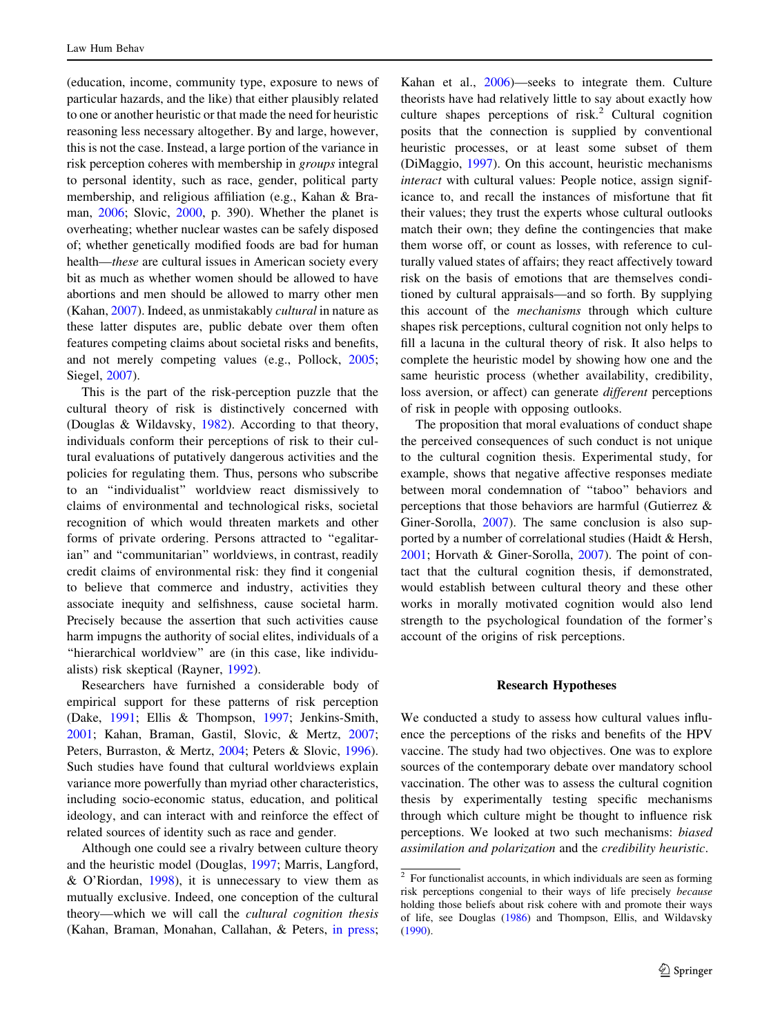(education, income, community type, exposure to news of particular hazards, and the like) that either plausibly related to one or another heuristic or that made the need for heuristic reasoning less necessary altogether. By and large, however, this is not the case. Instead, a large portion of the variance in risk perception coheres with membership in groups integral to personal identity, such as race, gender, political party membership, and religious affiliation (e.g., Kahan & Braman, [2006](#page-14-0); Slovic, [2000](#page-15-0), p. 390). Whether the planet is overheating; whether nuclear wastes can be safely disposed of; whether genetically modified foods are bad for human health—these are cultural issues in American society every bit as much as whether women should be allowed to have abortions and men should be allowed to marry other men (Kahan, [2007\)](#page-14-0). Indeed, as unmistakably cultural in nature as these latter disputes are, public debate over them often features competing claims about societal risks and benefits, and not merely competing values (e.g., Pollock, [2005](#page-15-0); Siegel, [2007](#page-15-0)).

This is the part of the risk-perception puzzle that the cultural theory of risk is distinctively concerned with (Douglas & Wildavsky, [1982\)](#page-14-0). According to that theory, individuals conform their perceptions of risk to their cultural evaluations of putatively dangerous activities and the policies for regulating them. Thus, persons who subscribe to an ''individualist'' worldview react dismissively to claims of environmental and technological risks, societal recognition of which would threaten markets and other forms of private ordering. Persons attracted to ''egalitarian'' and ''communitarian'' worldviews, in contrast, readily credit claims of environmental risk: they find it congenial to believe that commerce and industry, activities they associate inequity and selfishness, cause societal harm. Precisely because the assertion that such activities cause harm impugns the authority of social elites, individuals of a "hierarchical worldview" are (in this case, like individualists) risk skeptical (Rayner, [1992\)](#page-15-0).

Researchers have furnished a considerable body of empirical support for these patterns of risk perception (Dake, [1991;](#page-14-0) Ellis & Thompson, [1997;](#page-14-0) Jenkins-Smith, [2001;](#page-14-0) Kahan, Braman, Gastil, Slovic, & Mertz, [2007](#page-15-0); Peters, Burraston, & Mertz, [2004](#page-15-0); Peters & Slovic, [1996](#page-15-0)). Such studies have found that cultural worldviews explain variance more powerfully than myriad other characteristics, including socio-economic status, education, and political ideology, and can interact with and reinforce the effect of related sources of identity such as race and gender.

Although one could see a rivalry between culture theory and the heuristic model (Douglas, [1997](#page-14-0); Marris, Langford, & O'Riordan, [1998](#page-15-0)), it is unnecessary to view them as mutually exclusive. Indeed, one conception of the cultural theory—which we will call the cultural cognition thesis (Kahan, Braman, Monahan, Callahan, & Peters, [in press](#page-15-0);

Kahan et al., [2006\)](#page-15-0)—seeks to integrate them. Culture theorists have had relatively little to say about exactly how culture shapes perceptions of risk.<sup>2</sup> Cultural cognition posits that the connection is supplied by conventional heuristic processes, or at least some subset of them (DiMaggio, [1997](#page-14-0)). On this account, heuristic mechanisms interact with cultural values: People notice, assign significance to, and recall the instances of misfortune that fit their values; they trust the experts whose cultural outlooks match their own; they define the contingencies that make them worse off, or count as losses, with reference to culturally valued states of affairs; they react affectively toward risk on the basis of emotions that are themselves conditioned by cultural appraisals—and so forth. By supplying this account of the mechanisms through which culture shapes risk perceptions, cultural cognition not only helps to fill a lacuna in the cultural theory of risk. It also helps to complete the heuristic model by showing how one and the same heuristic process (whether availability, credibility, loss aversion, or affect) can generate different perceptions of risk in people with opposing outlooks.

The proposition that moral evaluations of conduct shape the perceived consequences of such conduct is not unique to the cultural cognition thesis. Experimental study, for example, shows that negative affective responses mediate between moral condemnation of ''taboo'' behaviors and perceptions that those behaviors are harmful (Gutierrez & Giner-Sorolla, [2007\)](#page-14-0). The same conclusion is also supported by a number of correlational studies (Haidt & Hersh, [2001](#page-14-0); Horvath & Giner-Sorolla, [2007\)](#page-14-0). The point of contact that the cultural cognition thesis, if demonstrated, would establish between cultural theory and these other works in morally motivated cognition would also lend strength to the psychological foundation of the former's account of the origins of risk perceptions.

#### Research Hypotheses

We conducted a study to assess how cultural values influence the perceptions of the risks and benefits of the HPV vaccine. The study had two objectives. One was to explore sources of the contemporary debate over mandatory school vaccination. The other was to assess the cultural cognition thesis by experimentally testing specific mechanisms through which culture might be thought to influence risk perceptions. We looked at two such mechanisms: biased assimilation and polarization and the credibility heuristic.

 $\frac{2}{3}$  For functionalist accounts, in which individuals are seen as forming risk perceptions congenial to their ways of life precisely because holding those beliefs about risk cohere with and promote their ways of life, see Douglas ([1986\)](#page-14-0) and Thompson, Ellis, and Wildavsky ([1990\)](#page-15-0).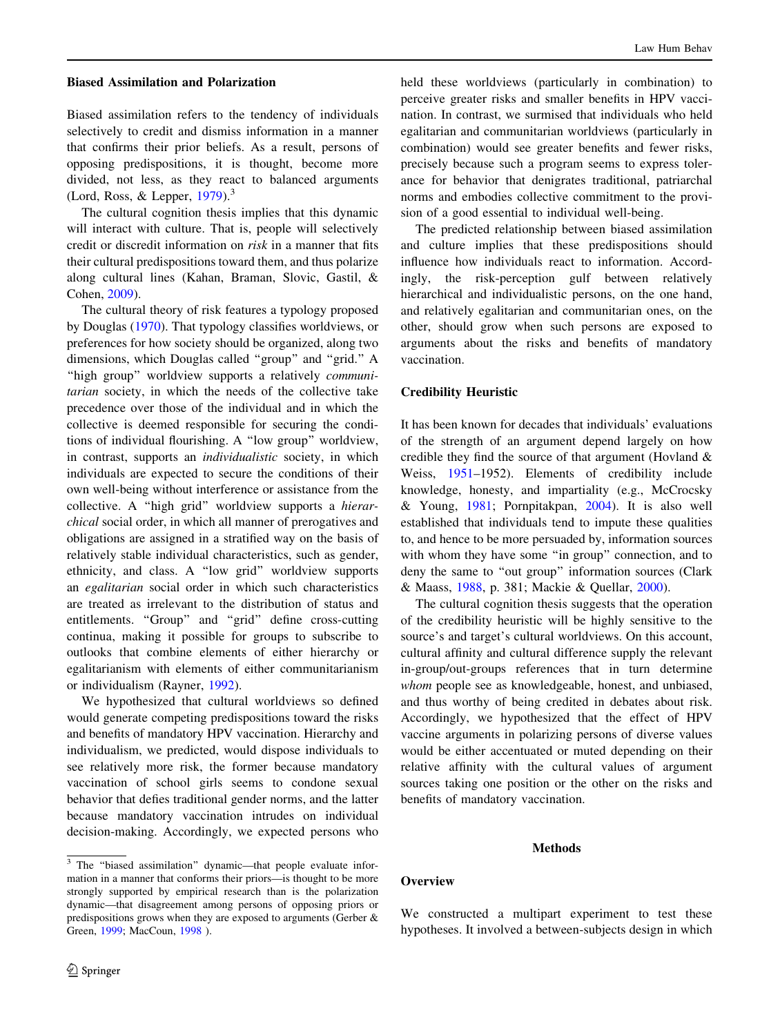#### Biased Assimilation and Polarization

Biased assimilation refers to the tendency of individuals selectively to credit and dismiss information in a manner that confirms their prior beliefs. As a result, persons of opposing predispositions, it is thought, become more divided, not less, as they react to balanced arguments (Lord, Ross, & Lepper,  $1979$ ).<sup>3</sup>

The cultural cognition thesis implies that this dynamic will interact with culture. That is, people will selectively credit or discredit information on risk in a manner that fits their cultural predispositions toward them, and thus polarize along cultural lines (Kahan, Braman, Slovic, Gastil, & Cohen, [2009](#page-15-0)).

The cultural theory of risk features a typology proposed by Douglas ([1970\)](#page-14-0). That typology classifies worldviews, or preferences for how society should be organized, along two dimensions, which Douglas called ''group'' and ''grid.'' A "high group" worldview supports a relatively *communi*tarian society, in which the needs of the collective take precedence over those of the individual and in which the collective is deemed responsible for securing the conditions of individual flourishing. A ''low group'' worldview, in contrast, supports an individualistic society, in which individuals are expected to secure the conditions of their own well-being without interference or assistance from the collective. A ''high grid'' worldview supports a hierarchical social order, in which all manner of prerogatives and obligations are assigned in a stratified way on the basis of relatively stable individual characteristics, such as gender, ethnicity, and class. A ''low grid'' worldview supports an egalitarian social order in which such characteristics are treated as irrelevant to the distribution of status and entitlements. "Group" and "grid" define cross-cutting continua, making it possible for groups to subscribe to outlooks that combine elements of either hierarchy or egalitarianism with elements of either communitarianism or individualism (Rayner, [1992](#page-15-0)).

We hypothesized that cultural worldviews so defined would generate competing predispositions toward the risks and benefits of mandatory HPV vaccination. Hierarchy and individualism, we predicted, would dispose individuals to see relatively more risk, the former because mandatory vaccination of school girls seems to condone sexual behavior that defies traditional gender norms, and the latter because mandatory vaccination intrudes on individual decision-making. Accordingly, we expected persons who

held these worldviews (particularly in combination) to perceive greater risks and smaller benefits in HPV vaccination. In contrast, we surmised that individuals who held egalitarian and communitarian worldviews (particularly in combination) would see greater benefits and fewer risks, precisely because such a program seems to express tolerance for behavior that denigrates traditional, patriarchal norms and embodies collective commitment to the provision of a good essential to individual well-being.

The predicted relationship between biased assimilation and culture implies that these predispositions should influence how individuals react to information. Accordingly, the risk-perception gulf between relatively hierarchical and individualistic persons, on the one hand, and relatively egalitarian and communitarian ones, on the other, should grow when such persons are exposed to arguments about the risks and benefits of mandatory vaccination.

#### Credibility Heuristic

It has been known for decades that individuals' evaluations of the strength of an argument depend largely on how credible they find the source of that argument (Hovland & Weiss, [1951–](#page-14-0)1952). Elements of credibility include knowledge, honesty, and impartiality (e.g., McCrocsky & Young, [1981](#page-15-0); Pornpitakpan, [2004](#page-15-0)). It is also well established that individuals tend to impute these qualities to, and hence to be more persuaded by, information sources with whom they have some "in group" connection, and to deny the same to "out group" information sources (Clark & Maass, [1988,](#page-14-0) p. 381; Mackie & Quellar, [2000\)](#page-15-0).

The cultural cognition thesis suggests that the operation of the credibility heuristic will be highly sensitive to the source's and target's cultural worldviews. On this account, cultural affinity and cultural difference supply the relevant in-group/out-groups references that in turn determine whom people see as knowledgeable, honest, and unbiased, and thus worthy of being credited in debates about risk. Accordingly, we hypothesized that the effect of HPV vaccine arguments in polarizing persons of diverse values would be either accentuated or muted depending on their relative affinity with the cultural values of argument sources taking one position or the other on the risks and benefits of mandatory vaccination.

#### Methods

# **Overview**

We constructed a multipart experiment to test these hypotheses. It involved a between-subjects design in which

<sup>&</sup>lt;sup>3</sup> The "biased assimilation" dynamic—that people evaluate information in a manner that conforms their priors—is thought to be more strongly supported by empirical research than is the polarization dynamic—that disagreement among persons of opposing priors or predispositions grows when they are exposed to arguments (Gerber & Green, [1999;](#page-14-0) MacCoun, [1998](#page-15-0) ).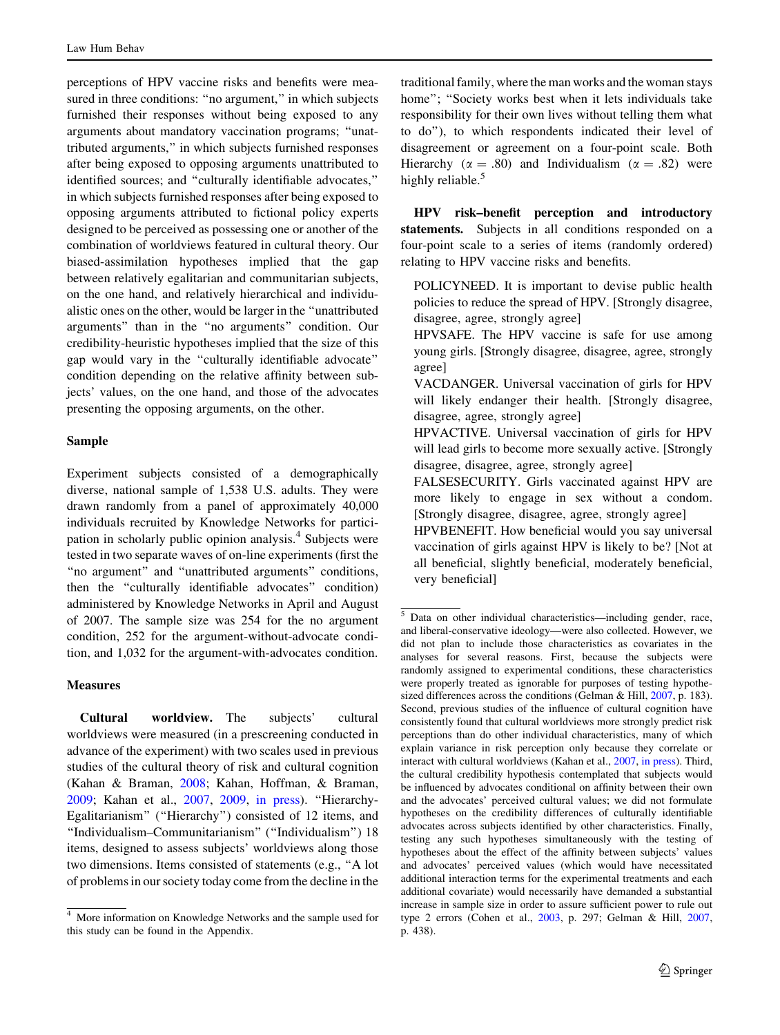perceptions of HPV vaccine risks and benefits were measured in three conditions: "no argument," in which subjects furnished their responses without being exposed to any arguments about mandatory vaccination programs; ''unattributed arguments,'' in which subjects furnished responses after being exposed to opposing arguments unattributed to identified sources; and ''culturally identifiable advocates,'' in which subjects furnished responses after being exposed to opposing arguments attributed to fictional policy experts designed to be perceived as possessing one or another of the combination of worldviews featured in cultural theory. Our biased-assimilation hypotheses implied that the gap between relatively egalitarian and communitarian subjects, on the one hand, and relatively hierarchical and individualistic ones on the other, would be larger in the ''unattributed arguments'' than in the ''no arguments'' condition. Our credibility-heuristic hypotheses implied that the size of this gap would vary in the ''culturally identifiable advocate'' condition depending on the relative affinity between subjects' values, on the one hand, and those of the advocates presenting the opposing arguments, on the other.

# Sample

Experiment subjects consisted of a demographically diverse, national sample of 1,538 U.S. adults. They were drawn randomly from a panel of approximately 40,000 individuals recruited by Knowledge Networks for participation in scholarly public opinion analysis.<sup>4</sup> Subjects were tested in two separate waves of on-line experiments (first the "no argument" and "unattributed arguments" conditions, then the ''culturally identifiable advocates'' condition) administered by Knowledge Networks in April and August of 2007. The sample size was 254 for the no argument condition, 252 for the argument-without-advocate condition, and 1,032 for the argument-with-advocates condition.

# Measures

Cultural worldview. The subjects' cultural worldviews were measured (in a prescreening conducted in advance of the experiment) with two scales used in previous studies of the cultural theory of risk and cultural cognition (Kahan & Braman, [2008](#page-14-0); Kahan, Hoffman, & Braman, [2009;](#page-15-0) Kahan et al., [2007](#page-15-0), [2009,](#page-15-0) [in press](#page-15-0)). ''Hierarchy-Egalitarianism" ("Hierarchy") consisted of 12 items, and ''Individualism–Communitarianism'' (''Individualism'') 18 items, designed to assess subjects' worldviews along those two dimensions. Items consisted of statements (e.g., ''A lot of problems in our society today come from the decline in the

traditional family, where the man works and the woman stays home"; "Society works best when it lets individuals take responsibility for their own lives without telling them what to do''), to which respondents indicated their level of disagreement or agreement on a four-point scale. Both Hierarchy ( $\alpha = .80$ ) and Individualism ( $\alpha = .82$ ) were highly reliable.<sup>5</sup>

HPV risk–benefit perception and introductory statements. Subjects in all conditions responded on a four-point scale to a series of items (randomly ordered) relating to HPV vaccine risks and benefits.

POLICYNEED. It is important to devise public health policies to reduce the spread of HPV. [Strongly disagree, disagree, agree, strongly agree]

HPVSAFE. The HPV vaccine is safe for use among young girls. [Strongly disagree, disagree, agree, strongly agree]

VACDANGER. Universal vaccination of girls for HPV will likely endanger their health. [Strongly disagree, disagree, agree, strongly agree]

HPVACTIVE. Universal vaccination of girls for HPV will lead girls to become more sexually active. [Strongly disagree, disagree, agree, strongly agree]

FALSESECURITY. Girls vaccinated against HPV are more likely to engage in sex without a condom. [Strongly disagree, disagree, agree, strongly agree]

HPVBENEFIT. How beneficial would you say universal vaccination of girls against HPV is likely to be? [Not at all beneficial, slightly beneficial, moderately beneficial, very beneficial]

<sup>4</sup> More information on Knowledge Networks and the sample used for this study can be found in the Appendix.

 $\overline{5}$  Data on other individual characteristics—including gender, race, and liberal-conservative ideology—were also collected. However, we did not plan to include those characteristics as covariates in the analyses for several reasons. First, because the subjects were randomly assigned to experimental conditions, these characteristics were properly treated as ignorable for purposes of testing hypothesized differences across the conditions (Gelman & Hill, [2007,](#page-14-0) p. 183). Second, previous studies of the influence of cultural cognition have consistently found that cultural worldviews more strongly predict risk perceptions than do other individual characteristics, many of which explain variance in risk perception only because they correlate or interact with cultural worldviews (Kahan et al., [2007,](#page-15-0) [in press](#page-15-0)). Third, the cultural credibility hypothesis contemplated that subjects would be influenced by advocates conditional on affinity between their own and the advocates' perceived cultural values; we did not formulate hypotheses on the credibility differences of culturally identifiable advocates across subjects identified by other characteristics. Finally, testing any such hypotheses simultaneously with the testing of hypotheses about the effect of the affinity between subjects' values and advocates' perceived values (which would have necessitated additional interaction terms for the experimental treatments and each additional covariate) would necessarily have demanded a substantial increase in sample size in order to assure sufficient power to rule out type 2 errors (Cohen et al., [2003](#page-14-0), p. 297; Gelman & Hill, [2007](#page-14-0), p. 438).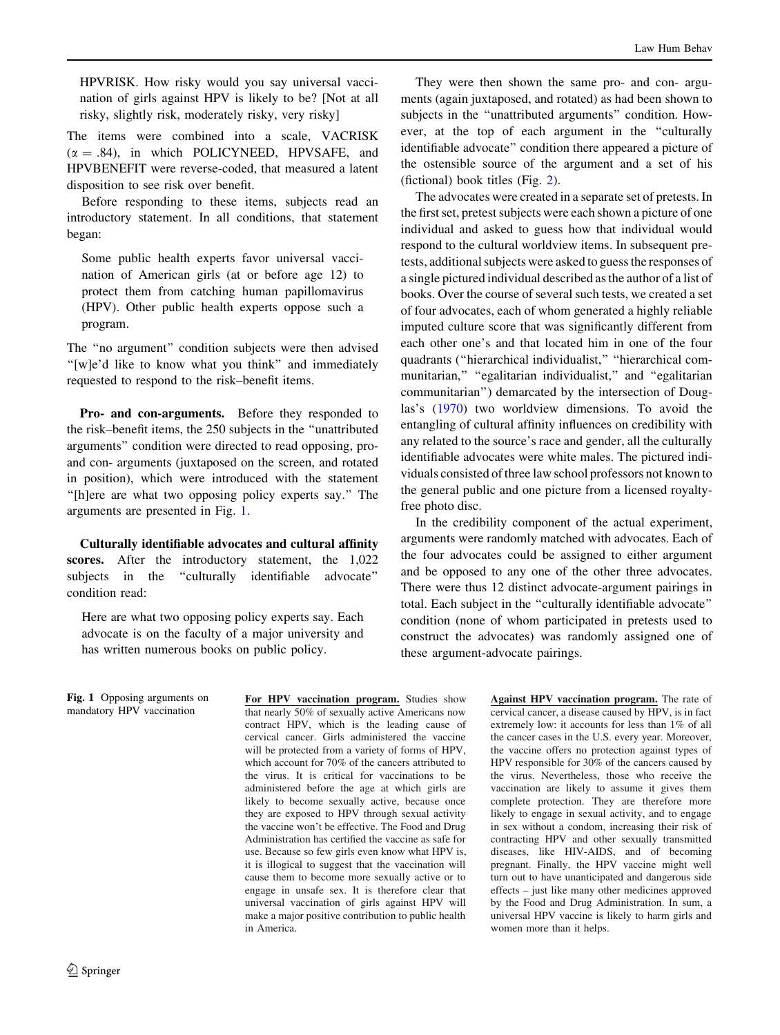HPVRISK. How risky would you say universal vaccination of girls against HPV is likely to be? [Not at all risky, slightly risk, moderately risky, very risky]

The items were combined into a scale, VACRISK  $(\alpha = .84)$ , in which POLICYNEED, HPVSAFE, and HPVBENEFIT were reverse-coded, that measured a latent disposition to see risk over benefit.

Before responding to these items, subjects read an introductory statement. In all conditions, that statement began:

Some public health experts favor universal vaccination of American girls (at or before age 12) to protect them from catching human papillomavirus (HPV). Other public health experts oppose such a program.

The "no argument" condition subjects were then advised "[w]e'd like to know what you think" and immediately requested to respond to the risk–benefit items.

Pro- and con-arguments. Before they responded to the risk–benefit items, the 250 subjects in the ''unattributed arguments'' condition were directed to read opposing, proand con- arguments (juxtaposed on the screen, and rotated in position), which were introduced with the statement ''[h]ere are what two opposing policy experts say.'' The arguments are presented in Fig. [1.](#page-5-0)

Culturally identifiable advocates and cultural affinity scores. After the introductory statement, the  $1,022$ subjects in the ''culturally identifiable advocate'' condition read:

Here are what two opposing policy experts say. Each advocate is on the faculty of a major university and has written numerous books on public policy.

They were then shown the same pro- and con- arguments (again juxtaposed, and rotated) as had been shown to subjects in the ''unattributed arguments'' condition. However, at the top of each argument in the ''culturally identifiable advocate'' condition there appeared a picture of the ostensible source of the argument and a set of his (fictional) book titles (Fig. [2\)](#page-6-0).

The advocates were created in a separate set of pretests. In the first set, pretest subjects were each shown a picture of one individual and asked to guess how that individual would respond to the cultural worldview items. In subsequent pretests, additional subjects were asked to guess the responses of a single pictured individual described as the author of a list of books. Over the course of several such tests, we created a set of four advocates, each of whom generated a highly reliable imputed culture score that was significantly different from each other one's and that located him in one of the four quadrants (''hierarchical individualist,'' ''hierarchical communitarian," "egalitarian individualist," and "egalitarian communitarian'') demarcated by the intersection of Douglas's ([1970\)](#page-14-0) two worldview dimensions. To avoid the entangling of cultural affinity influences on credibility with any related to the source's race and gender, all the culturally identifiable advocates were white males. The pictured individuals consisted of three law school professors not known to the general public and one picture from a licensed royaltyfree photo disc.

In the credibility component of the actual experiment, arguments were randomly matched with advocates. Each of the four advocates could be assigned to either argument and be opposed to any one of the other three advocates. There were thus 12 distinct advocate-argument pairings in total. Each subject in the ''culturally identifiable advocate'' condition (none of whom participated in pretests used to construct the advocates) was randomly assigned one of these argument-advocate pairings.

<span id="page-5-0"></span>Fig. 1 Opposing arguments on mandatory HPV vaccination

**For HPV vaccination program.** Studies show that nearly 50% of sexually active Americans now contract HPV, which is the leading cause of cervical cancer. Girls administered the vaccine will be protected from a variety of forms of HPV, which account for 70% of the cancers attributed to the virus. It is critical for vaccinations to be administered before the age at which girls are likely to become sexually active, because once they are exposed to HPV through sexual activity the vaccine won't be effective. The Food and Drug Administration has certified the vaccine as safe for use. Because so few girls even know what HPV is, it is illogical to suggest that the vaccination will cause them to become more sexually active or to engage in unsafe sex. It is therefore clear that universal vaccination of girls against HPV will make a major positive contribution to public health in America.

**Against HPV vaccination program.** The rate of cervical cancer, a disease caused by HPV, is in fact extremely low: it accounts for less than 1% of all the cancer cases in the U.S. every year. Moreover, the vaccine offers no protection against types of HPV responsible for 30% of the cancers caused by the virus. Nevertheless, those who receive the vaccination are likely to assume it gives them complete protection. They are therefore more likely to engage in sexual activity, and to engage in sex without a condom, increasing their risk of contracting HPV and other sexually transmitted diseases, like HIV-AIDS, and of becoming pregnant. Finally, the HPV vaccine might well turn out to have unanticipated and dangerous side effects – just like many other medicines approved by the Food and Drug Administration. In sum, a universal HPV vaccine is likely to harm girls and women more than it helps.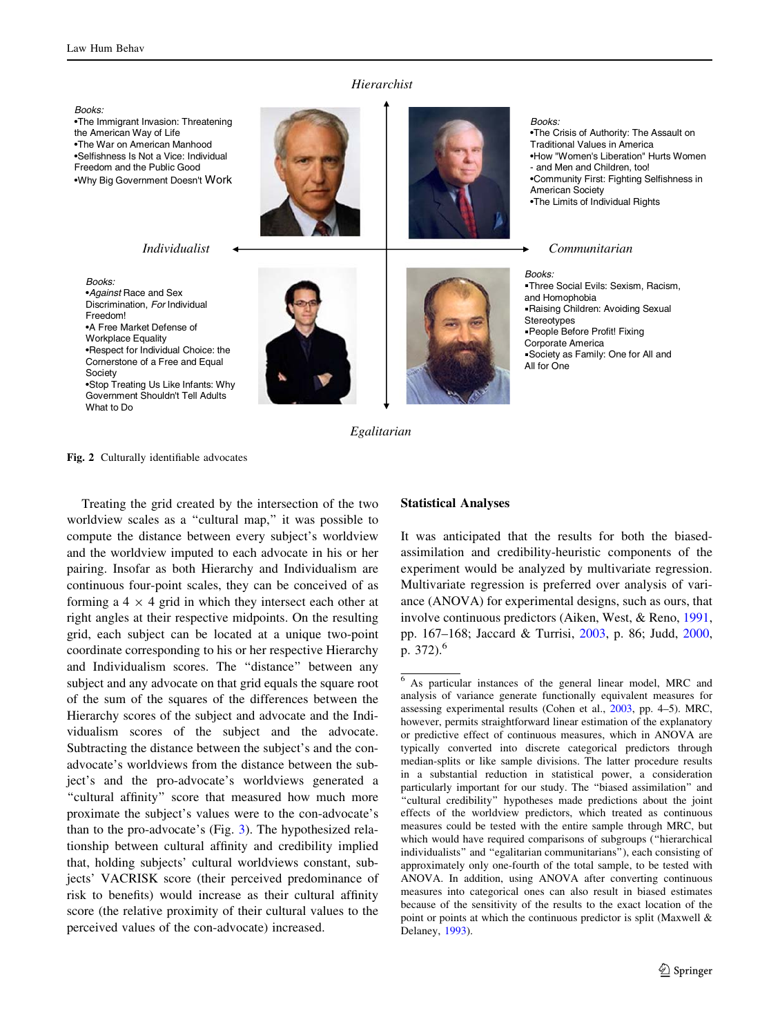# *Hierarchist*



Fig. 2 Culturally identifiable advocates

Treating the grid created by the intersection of the two worldview scales as a "cultural map," it was possible to compute the distance between every subject's worldview and the worldview imputed to each advocate in his or her pairing. Insofar as both Hierarchy and Individualism are continuous four-point scales, they can be conceived of as forming a  $4 \times 4$  grid in which they intersect each other at right angles at their respective midpoints. On the resulting grid, each subject can be located at a unique two-point coordinate corresponding to his or her respective Hierarchy and Individualism scores. The ''distance'' between any subject and any advocate on that grid equals the square root of the sum of the squares of the differences between the Hierarchy scores of the subject and advocate and the Individualism scores of the subject and the advocate. Subtracting the distance between the subject's and the conadvocate's worldviews from the distance between the subject's and the pro-advocate's worldviews generated a "cultural affinity" score that measured how much more proximate the subject's values were to the con-advocate's than to the pro-advocate's (Fig. [3](#page-7-0)). The hypothesized relationship between cultural affinity and credibility implied that, holding subjects' cultural worldviews constant, subjects' VACRISK score (their perceived predominance of risk to benefits) would increase as their cultural affinity score (the relative proximity of their cultural values to the perceived values of the con-advocate) increased.

# Statistical Analyses

It was anticipated that the results for both the biasedassimilation and credibility-heuristic components of the experiment would be analyzed by multivariate regression. Multivariate regression is preferred over analysis of variance (ANOVA) for experimental designs, such as ours, that involve continuous predictors (Aiken, West, & Reno, [1991,](#page-14-0) pp. 167–168; Jaccard & Turrisi, [2003,](#page-14-0) p. 86; Judd, [2000,](#page-14-0) p. 372).<sup>6</sup>

<span id="page-6-0"></span><sup>6</sup> As particular instances of the general linear model, MRC and analysis of variance generate functionally equivalent measures for assessing experimental results (Cohen et al., [2003,](#page-14-0) pp. 4–5). MRC, however, permits straightforward linear estimation of the explanatory or predictive effect of continuous measures, which in ANOVA are typically converted into discrete categorical predictors through median-splits or like sample divisions. The latter procedure results in a substantial reduction in statistical power, a consideration particularly important for our study. The ''biased assimilation'' and ''cultural credibility'' hypotheses made predictions about the joint effects of the worldview predictors, which treated as continuous measures could be tested with the entire sample through MRC, but which would have required comparisons of subgroups (''hierarchical individualists'' and ''egalitarian communitarians''), each consisting of approximately only one-fourth of the total sample, to be tested with ANOVA. In addition, using ANOVA after converting continuous measures into categorical ones can also result in biased estimates because of the sensitivity of the results to the exact location of the point or points at which the continuous predictor is split (Maxwell & Delaney, [1993](#page-15-0)).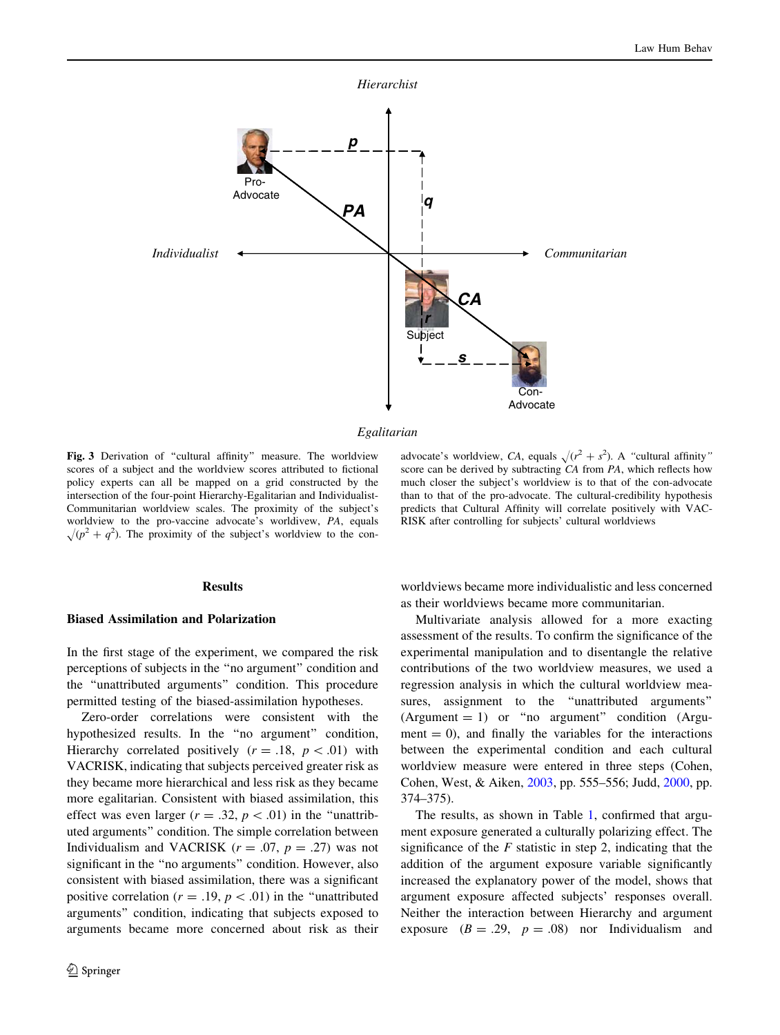

*Egalitarian*

Fig. 3 Derivation of ''cultural affinity'' measure. The worldview scores of a subject and the worldview scores attributed to fictional policy experts can all be mapped on a grid constructed by the intersection of the four-point Hierarchy-Egalitarian and Individualist-Communitarian worldview scales. The proximity of the subject's worldview to the pro-vaccine advocate's worldivew, PA, equals  $\sqrt{(p^2 + q^2)}$ . The proximity of the subject's worldview to the con-

#### **Results**

#### Biased Assimilation and Polarization

In the first stage of the experiment, we compared the risk perceptions of subjects in the ''no argument'' condition and the ''unattributed arguments'' condition. This procedure permitted testing of the biased-assimilation hypotheses.

<span id="page-7-0"></span>Zero-order correlations were consistent with the hypothesized results. In the ''no argument'' condition, Hierarchy correlated positively  $(r = .18, p < .01)$  with VACRISK, indicating that subjects perceived greater risk as they became more hierarchical and less risk as they became more egalitarian. Consistent with biased assimilation, this effect was even larger ( $r = .32$ ,  $p < .01$ ) in the "unattributed arguments'' condition. The simple correlation between Individualism and VACRISK  $(r = .07, p = .27)$  was not significant in the ''no arguments'' condition. However, also consistent with biased assimilation, there was a significant positive correlation ( $r = .19$ ,  $p < .01$ ) in the "unattributed arguments'' condition, indicating that subjects exposed to arguments became more concerned about risk as their

advocate's worldview, CA, equals  $\sqrt{(r^2 + s^2)}$ . A "cultural affinity" score can be derived by subtracting CA from PA, which reflects how much closer the subject's worldview is to that of the con-advocate than to that of the pro-advocate. The cultural-credibility hypothesis predicts that Cultural Affinity will correlate positively with VAC-RISK after controlling for subjects' cultural worldviews

worldviews became more individualistic and less concerned as their worldviews became more communitarian.

Multivariate analysis allowed for a more exacting assessment of the results. To confirm the significance of the experimental manipulation and to disentangle the relative contributions of the two worldview measures, we used a regression analysis in which the cultural worldview measures, assignment to the "unattributed arguments" (Argument  $= 1$ ) or "no argument" condition (Argument  $= 0$ ), and finally the variables for the interactions between the experimental condition and each cultural worldview measure were entered in three steps (Cohen, Cohen, West, & Aiken, [2003,](#page-14-0) pp. 555–556; Judd, [2000,](#page-14-0) pp. 374–375).

The results, as shown in Table [1,](#page-8-0) confirmed that argument exposure generated a culturally polarizing effect. The significance of the  $F$  statistic in step 2, indicating that the addition of the argument exposure variable significantly increased the explanatory power of the model, shows that argument exposure affected subjects' responses overall. Neither the interaction between Hierarchy and argument exposure  $(B = .29, p = .08)$  nor Individualism and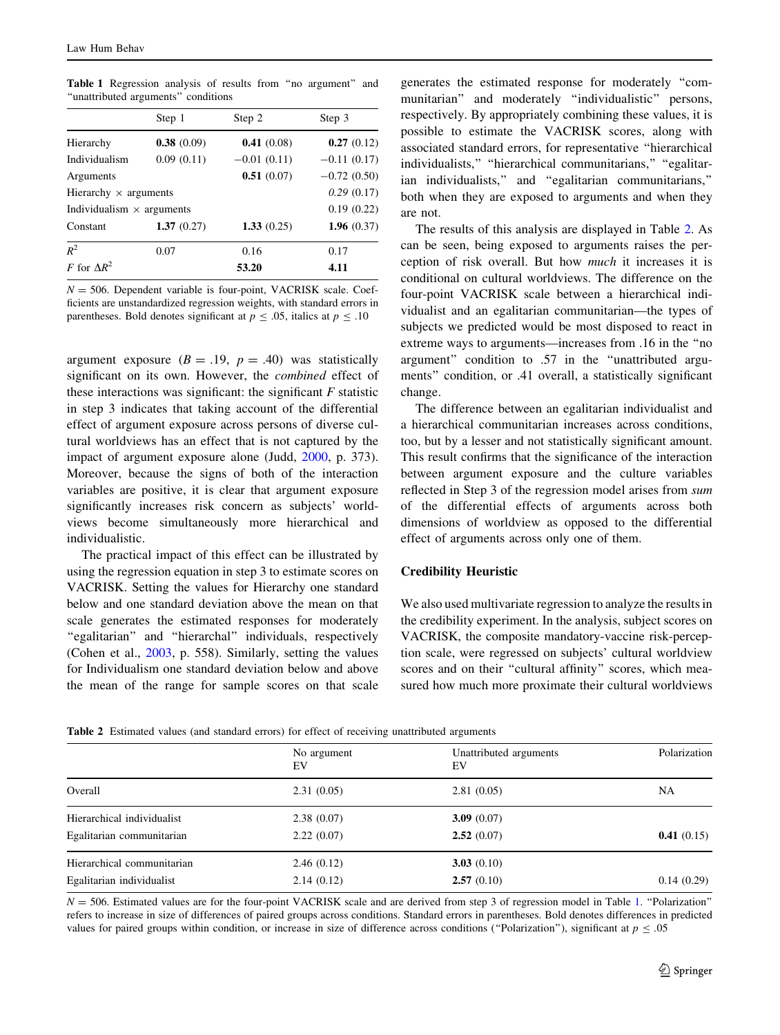Table 1 Regression analysis of results from "no argument" and ''unattributed arguments'' conditions

|                                  | Step 1     | Step 2        | Step 3        |
|----------------------------------|------------|---------------|---------------|
| Hierarchy                        | 0.38(0.09) | 0.41(0.08)    | 0.27(0.12)    |
| Individualism                    | 0.09(0.11) | $-0.01(0.11)$ | $-0.11(0.17)$ |
| Arguments                        |            | 0.51(0.07)    | $-0.72(0.50)$ |
| Hierarchy $\times$ arguments     |            |               | 0.29(0.17)    |
| Individualism $\times$ arguments |            |               | 0.19(0.22)    |
| Constant                         | 1.37(0.27) | 1.33(0.25)    | 1.96(0.37)    |
| $R^2$                            | 0.07       | 0.16          | 0.17          |
| F for $\Lambda R^2$              |            | 53.20         | 4.11          |

 $N = 506$ . Dependent variable is four-point, VACRISK scale. Coefficients are unstandardized regression weights, with standard errors in parentheses. Bold denotes significant at  $p \le .05$ , italics at  $p \le .10$ 

argument exposure  $(B = .19, p = .40)$  was statistically significant on its own. However, the *combined* effect of these interactions was significant: the significant  $F$  statistic in step 3 indicates that taking account of the differential effect of argument exposure across persons of diverse cultural worldviews has an effect that is not captured by the impact of argument exposure alone (Judd, [2000,](#page-14-0) p. 373). Moreover, because the signs of both of the interaction variables are positive, it is clear that argument exposure significantly increases risk concern as subjects' worldviews become simultaneously more hierarchical and individualistic.

The practical impact of this effect can be illustrated by using the regression equation in step 3 to estimate scores on VACRISK. Setting the values for Hierarchy one standard below and one standard deviation above the mean on that scale generates the estimated responses for moderately "egalitarian" and "hierarchal" individuals, respectively (Cohen et al., [2003](#page-14-0), p. 558). Similarly, setting the values for Individualism one standard deviation below and above the mean of the range for sample scores on that scale generates the estimated response for moderately ''communitarian'' and moderately ''individualistic'' persons, respectively. By appropriately combining these values, it is possible to estimate the VACRISK scores, along with associated standard errors, for representative ''hierarchical individualists," "hierarchical communitarians," "egalitarian individualists,'' and ''egalitarian communitarians,'' both when they are exposed to arguments and when they are not.

The results of this analysis are displayed in Table [2.](#page-8-0) As can be seen, being exposed to arguments raises the perception of risk overall. But how much it increases it is conditional on cultural worldviews. The difference on the four-point VACRISK scale between a hierarchical individualist and an egalitarian communitarian—the types of subjects we predicted would be most disposed to react in extreme ways to arguments—increases from .16 in the ''no argument'' condition to .57 in the ''unattributed arguments'' condition, or .41 overall, a statistically significant change.

The difference between an egalitarian individualist and a hierarchical communitarian increases across conditions, too, but by a lesser and not statistically significant amount. This result confirms that the significance of the interaction between argument exposure and the culture variables reflected in Step 3 of the regression model arises from sum of the differential effects of arguments across both dimensions of worldview as opposed to the differential effect of arguments across only one of them.

#### Credibility Heuristic

We also used multivariate regression to analyze the results in the credibility experiment. In the analysis, subject scores on VACRISK, the composite mandatory-vaccine risk-perception scale, were regressed on subjects' cultural worldview scores and on their "cultural affinity" scores, which measured how much more proximate their cultural worldviews

Table 2 Estimated values (and standard errors) for effect of receiving unattributed arguments

|                                                         | No argument<br>EV        | Unattributed arguments<br>EV | Polarization |  |
|---------------------------------------------------------|--------------------------|------------------------------|--------------|--|
| Overall                                                 | 2.31(0.05)<br>2.81(0.05) |                              | NA           |  |
| Hierarchical individualist<br>Egalitarian communitarian | 2.38(0.07)<br>2.22(0.07) | 3.09 $(0.07)$<br>2.52(0.07)  | 0.41(0.15)   |  |
| Hierarchical communitarian<br>Egalitarian individualist | 2.46(0.12)<br>2.14(0.12) | 3.03(0.10)<br>2.57(0.10)     | 0.14(0.29)   |  |

<span id="page-8-0"></span> $N = 506$ . Estimated values are for the four-point VACRISK scale and are derived from step 3 of regression model in Table [1.](#page-8-0) "Polarization" refers to increase in size of differences of paired groups across conditions. Standard errors in parentheses. Bold denotes differences in predicted values for paired groups within condition, or increase in size of difference across conditions ("Polarization"), significant at  $p \leq .05$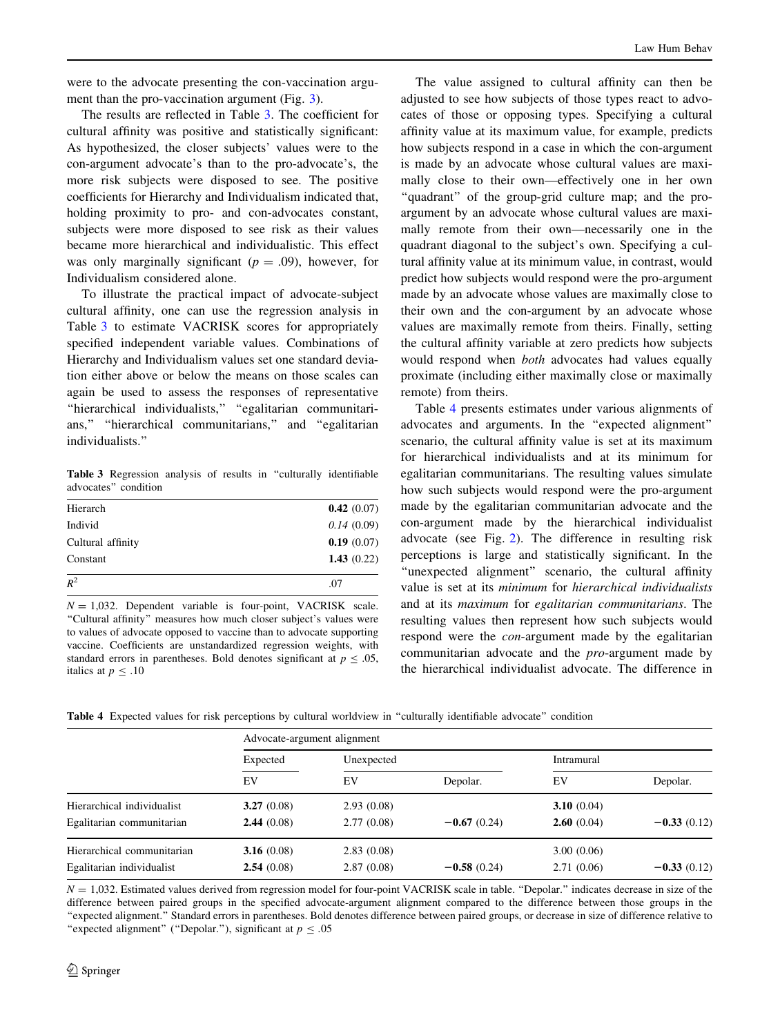were to the advocate presenting the con-vaccination argument than the pro-vaccination argument (Fig. [3](#page-7-0)).

The results are reflected in Table [3.](#page-9-0) The coefficient for cultural affinity was positive and statistically significant: As hypothesized, the closer subjects' values were to the con-argument advocate's than to the pro-advocate's, the more risk subjects were disposed to see. The positive coefficients for Hierarchy and Individualism indicated that, holding proximity to pro- and con-advocates constant, subjects were more disposed to see risk as their values became more hierarchical and individualistic. This effect was only marginally significant ( $p = .09$ ), however, for Individualism considered alone.

To illustrate the practical impact of advocate-subject cultural affinity, one can use the regression analysis in Table [3](#page-9-0) to estimate VACRISK scores for appropriately specified independent variable values. Combinations of Hierarchy and Individualism values set one standard deviation either above or below the means on those scales can again be used to assess the responses of representative ''hierarchical individualists,'' ''egalitarian communitarians," "hierarchical communitarians," and "egalitarian individualists.''

Table 3 Regression analysis of results in ''culturally identifiable advocates'' condition

| 0.42(0.07)    |
|---------------|
| 0.14(0.09)    |
| 0.19(0.07)    |
| 1.43 $(0.22)$ |
| .07           |
|               |

 $N = 1,032$ . Dependent variable is four-point, VACRISK scale. "Cultural affinity" measures how much closer subject's values were to values of advocate opposed to vaccine than to advocate supporting vaccine. Coefficients are unstandardized regression weights, with standard errors in parentheses. Bold denotes significant at  $p \le 0.05$ , italics at  $p \leq .10$ 

The value assigned to cultural affinity can then be adjusted to see how subjects of those types react to advocates of those or opposing types. Specifying a cultural affinity value at its maximum value, for example, predicts how subjects respond in a case in which the con-argument is made by an advocate whose cultural values are maximally close to their own—effectively one in her own "quadrant" of the group-grid culture map; and the proargument by an advocate whose cultural values are maximally remote from their own—necessarily one in the quadrant diagonal to the subject's own. Specifying a cultural affinity value at its minimum value, in contrast, would predict how subjects would respond were the pro-argument made by an advocate whose values are maximally close to their own and the con-argument by an advocate whose values are maximally remote from theirs. Finally, setting the cultural affinity variable at zero predicts how subjects would respond when both advocates had values equally proximate (including either maximally close or maximally remote) from theirs.

Table [4](#page-9-0) presents estimates under various alignments of advocates and arguments. In the ''expected alignment'' scenario, the cultural affinity value is set at its maximum for hierarchical individualists and at its minimum for egalitarian communitarians. The resulting values simulate how such subjects would respond were the pro-argument made by the egalitarian communitarian advocate and the con-argument made by the hierarchical individualist advocate (see Fig. [2](#page-6-0)). The difference in resulting risk perceptions is large and statistically significant. In the "unexpected alignment" scenario, the cultural affinity value is set at its minimum for hierarchical individualists and at its maximum for egalitarian communitarians. The resulting values then represent how such subjects would respond were the con-argument made by the egalitarian communitarian advocate and the pro-argument made by the hierarchical individualist advocate. The difference in

Table 4 Expected values for risk perceptions by cultural worldview in ''culturally identifiable advocate'' condition

|                            | Advocate-argument alignment |            |               |            |               |  |
|----------------------------|-----------------------------|------------|---------------|------------|---------------|--|
|                            | Expected<br>EV              | Unexpected |               | Intramural |               |  |
|                            |                             | EV         | Depolar.      | EV         | Depolar.      |  |
| Hierarchical individualist | 3.27(0.08)                  | 2.93(0.08) |               | 3.10(0.04) |               |  |
| Egalitarian communitarian  | 2.44(0.08)                  | 2.77(0.08) | $-0.67(0.24)$ | 2.60(0.04) | $-0.33(0.12)$ |  |
| Hierarchical communitarian | 3.16(0.08)                  | 2.83(0.08) |               | 3.00(0.06) |               |  |
| Egalitarian individualist  | 2.54(0.08)                  | 2.87(0.08) | $-0.58(0.24)$ | 2.71(0.06) | $-0.33(0.12)$ |  |

<span id="page-9-0"></span> $N = 1,032$ . Estimated values derived from regression model for four-point VACRISK scale in table. "Depolar." indicates decrease in size of the difference between paired groups in the specified advocate-argument alignment compared to the difference between those groups in the ''expected alignment.'' Standard errors in parentheses. Bold denotes difference between paired groups, or decrease in size of difference relative to "expected alignment" ("Depolar."), significant at  $p \le .05$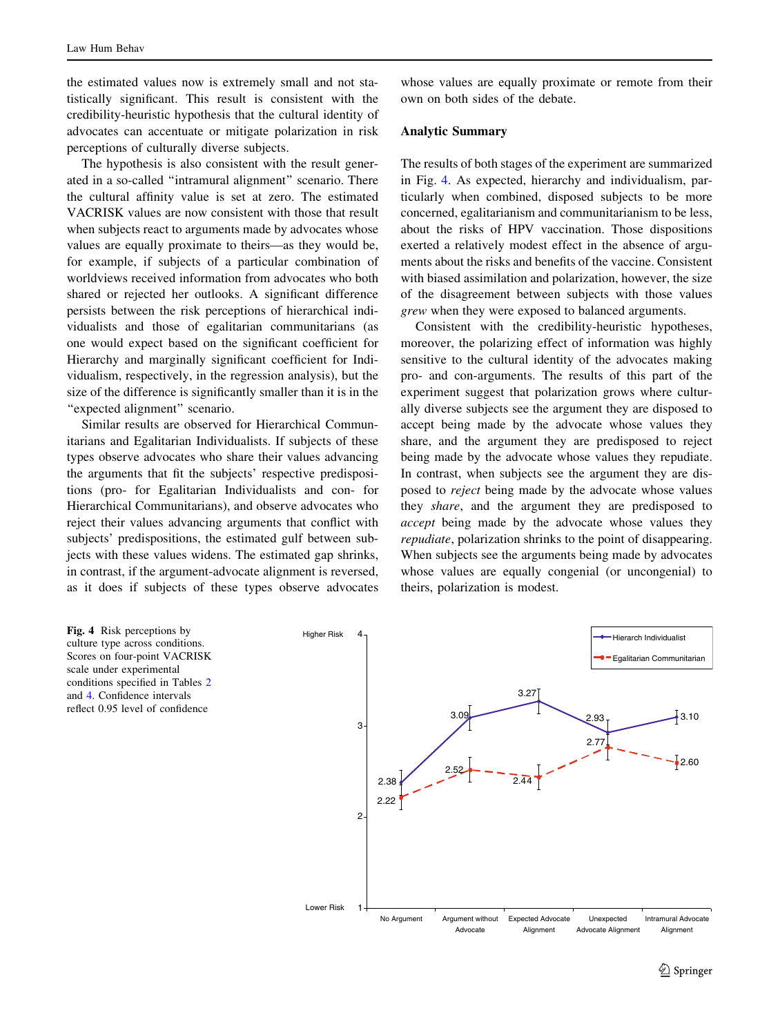the estimated values now is extremely small and not statistically significant. This result is consistent with the credibility-heuristic hypothesis that the cultural identity of advocates can accentuate or mitigate polarization in risk perceptions of culturally diverse subjects.

The hypothesis is also consistent with the result generated in a so-called ''intramural alignment'' scenario. There the cultural affinity value is set at zero. The estimated VACRISK values are now consistent with those that result when subjects react to arguments made by advocates whose values are equally proximate to theirs—as they would be, for example, if subjects of a particular combination of worldviews received information from advocates who both shared or rejected her outlooks. A significant difference persists between the risk perceptions of hierarchical individualists and those of egalitarian communitarians (as one would expect based on the significant coefficient for Hierarchy and marginally significant coefficient for Individualism, respectively, in the regression analysis), but the size of the difference is significantly smaller than it is in the "expected alignment" scenario.

Similar results are observed for Hierarchical Communitarians and Egalitarian Individualists. If subjects of these types observe advocates who share their values advancing the arguments that fit the subjects' respective predispositions (pro- for Egalitarian Individualists and con- for Hierarchical Communitarians), and observe advocates who reject their values advancing arguments that conflict with subjects' predispositions, the estimated gulf between subjects with these values widens. The estimated gap shrinks, in contrast, if the argument-advocate alignment is reversed, as it does if subjects of these types observe advocates

whose values are equally proximate or remote from their own on both sides of the debate.

# Analytic Summary

The results of both stages of the experiment are summarized in Fig. [4](#page-10-0). As expected, hierarchy and individualism, particularly when combined, disposed subjects to be more concerned, egalitarianism and communitarianism to be less, about the risks of HPV vaccination. Those dispositions exerted a relatively modest effect in the absence of arguments about the risks and benefits of the vaccine. Consistent with biased assimilation and polarization, however, the size of the disagreement between subjects with those values grew when they were exposed to balanced arguments.

Consistent with the credibility-heuristic hypotheses, moreover, the polarizing effect of information was highly sensitive to the cultural identity of the advocates making pro- and con-arguments. The results of this part of the experiment suggest that polarization grows where culturally diverse subjects see the argument they are disposed to accept being made by the advocate whose values they share, and the argument they are predisposed to reject being made by the advocate whose values they repudiate. In contrast, when subjects see the argument they are disposed to reject being made by the advocate whose values they share, and the argument they are predisposed to accept being made by the advocate whose values they repudiate, polarization shrinks to the point of disappearing. When subjects see the arguments being made by advocates whose values are equally congenial (or uncongenial) to theirs, polarization is modest.

<span id="page-10-0"></span>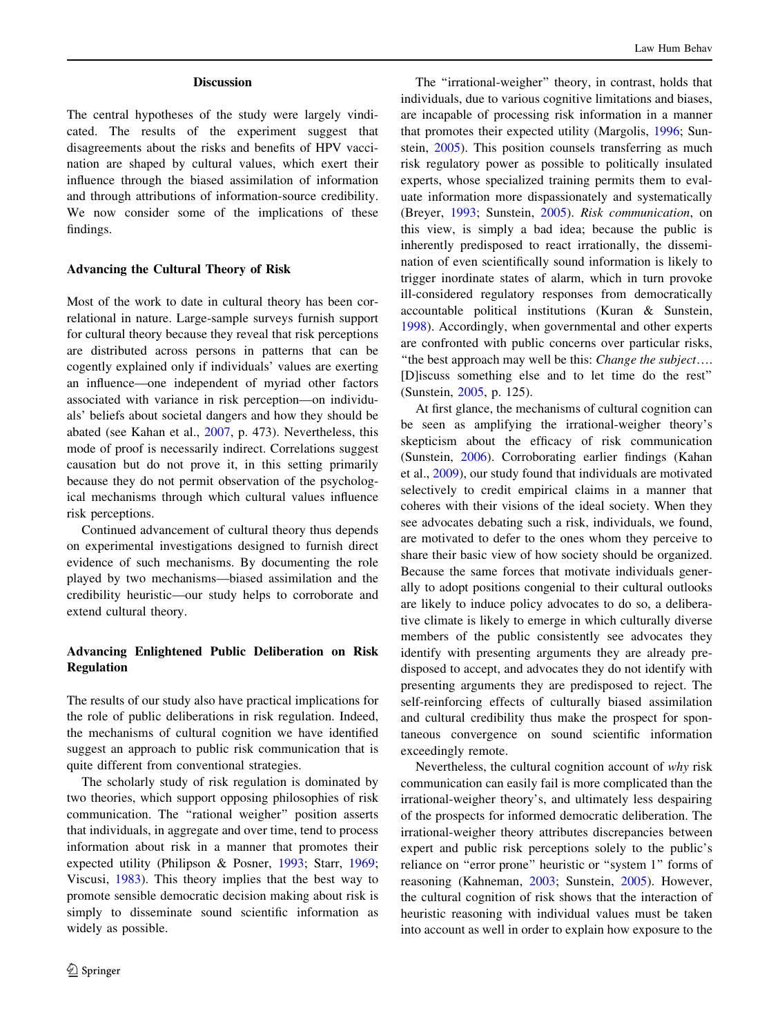#### **Discussion**

The central hypotheses of the study were largely vindicated. The results of the experiment suggest that disagreements about the risks and benefits of HPV vaccination are shaped by cultural values, which exert their influence through the biased assimilation of information and through attributions of information-source credibility. We now consider some of the implications of these findings.

#### Advancing the Cultural Theory of Risk

Most of the work to date in cultural theory has been correlational in nature. Large-sample surveys furnish support for cultural theory because they reveal that risk perceptions are distributed across persons in patterns that can be cogently explained only if individuals' values are exerting an influence—one independent of myriad other factors associated with variance in risk perception—on individuals' beliefs about societal dangers and how they should be abated (see Kahan et al., [2007](#page-15-0), p. 473). Nevertheless, this mode of proof is necessarily indirect. Correlations suggest causation but do not prove it, in this setting primarily because they do not permit observation of the psychological mechanisms through which cultural values influence risk perceptions.

Continued advancement of cultural theory thus depends on experimental investigations designed to furnish direct evidence of such mechanisms. By documenting the role played by two mechanisms—biased assimilation and the credibility heuristic—our study helps to corroborate and extend cultural theory.

# Advancing Enlightened Public Deliberation on Risk Regulation

The results of our study also have practical implications for the role of public deliberations in risk regulation. Indeed, the mechanisms of cultural cognition we have identified suggest an approach to public risk communication that is quite different from conventional strategies.

The scholarly study of risk regulation is dominated by two theories, which support opposing philosophies of risk communication. The "rational weigher" position asserts that individuals, in aggregate and over time, tend to process information about risk in a manner that promotes their expected utility (Philipson & Posner, [1993](#page-15-0); Starr, [1969](#page-15-0); Viscusi, [1983\)](#page-15-0). This theory implies that the best way to promote sensible democratic decision making about risk is simply to disseminate sound scientific information as widely as possible.

The "irrational-weigher" theory, in contrast, holds that individuals, due to various cognitive limitations and biases, are incapable of processing risk information in a manner that promotes their expected utility (Margolis, [1996](#page-15-0); Sunstein, [2005\)](#page-15-0). This position counsels transferring as much risk regulatory power as possible to politically insulated experts, whose specialized training permits them to evaluate information more dispassionately and systematically (Breyer, [1993;](#page-14-0) Sunstein, [2005\)](#page-15-0). Risk communication, on this view, is simply a bad idea; because the public is inherently predisposed to react irrationally, the dissemination of even scientifically sound information is likely to trigger inordinate states of alarm, which in turn provoke ill-considered regulatory responses from democratically accountable political institutions (Kuran & Sunstein, [1998](#page-15-0)). Accordingly, when governmental and other experts are confronted with public concerns over particular risks, ''the best approach may well be this: Change the subject…. [D]iscuss something else and to let time do the rest'' (Sunstein, [2005,](#page-15-0) p. 125).

At first glance, the mechanisms of cultural cognition can be seen as amplifying the irrational-weigher theory's skepticism about the efficacy of risk communication (Sunstein, [2006\)](#page-15-0). Corroborating earlier findings (Kahan et al., [2009\)](#page-15-0), our study found that individuals are motivated selectively to credit empirical claims in a manner that coheres with their visions of the ideal society. When they see advocates debating such a risk, individuals, we found, are motivated to defer to the ones whom they perceive to share their basic view of how society should be organized. Because the same forces that motivate individuals generally to adopt positions congenial to their cultural outlooks are likely to induce policy advocates to do so, a deliberative climate is likely to emerge in which culturally diverse members of the public consistently see advocates they identify with presenting arguments they are already predisposed to accept, and advocates they do not identify with presenting arguments they are predisposed to reject. The self-reinforcing effects of culturally biased assimilation and cultural credibility thus make the prospect for spontaneous convergence on sound scientific information exceedingly remote.

Nevertheless, the cultural cognition account of why risk communication can easily fail is more complicated than the irrational-weigher theory's, and ultimately less despairing of the prospects for informed democratic deliberation. The irrational-weigher theory attributes discrepancies between expert and public risk perceptions solely to the public's reliance on ''error prone'' heuristic or ''system 1'' forms of reasoning (Kahneman, [2003](#page-15-0); Sunstein, [2005](#page-15-0)). However, the cultural cognition of risk shows that the interaction of heuristic reasoning with individual values must be taken into account as well in order to explain how exposure to the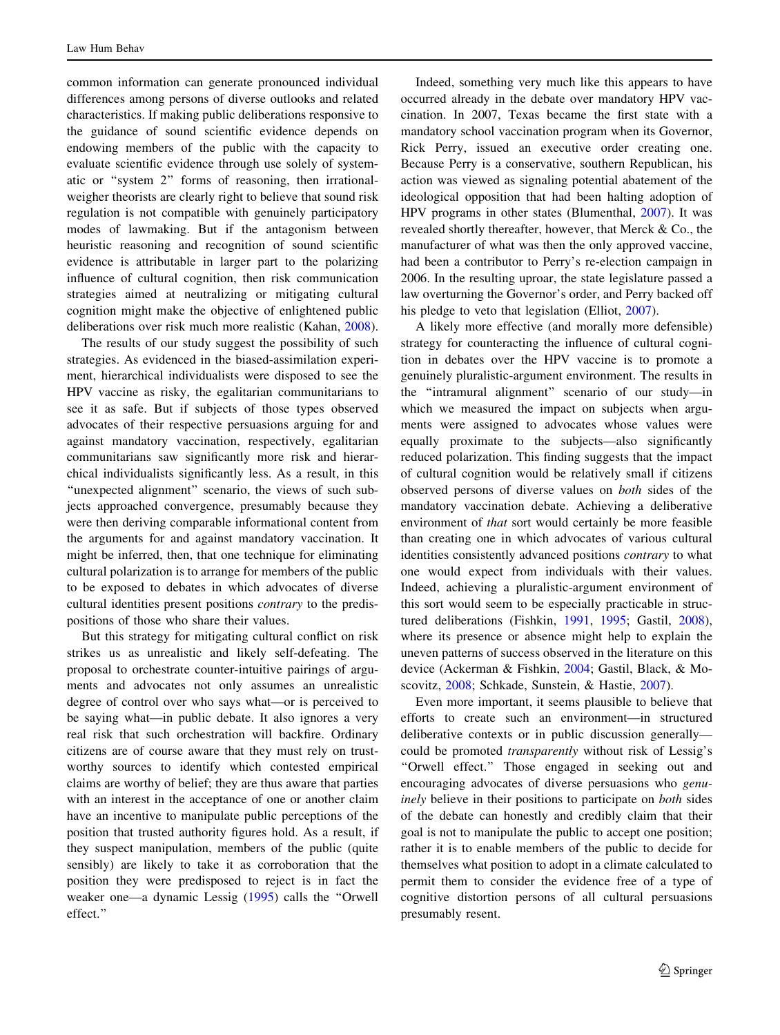common information can generate pronounced individual differences among persons of diverse outlooks and related characteristics. If making public deliberations responsive to the guidance of sound scientific evidence depends on endowing members of the public with the capacity to evaluate scientific evidence through use solely of systematic or ''system 2'' forms of reasoning, then irrationalweigher theorists are clearly right to believe that sound risk regulation is not compatible with genuinely participatory modes of lawmaking. But if the antagonism between heuristic reasoning and recognition of sound scientific evidence is attributable in larger part to the polarizing influence of cultural cognition, then risk communication strategies aimed at neutralizing or mitigating cultural cognition might make the objective of enlightened public deliberations over risk much more realistic (Kahan, [2008](#page-14-0)).

The results of our study suggest the possibility of such strategies. As evidenced in the biased-assimilation experiment, hierarchical individualists were disposed to see the HPV vaccine as risky, the egalitarian communitarians to see it as safe. But if subjects of those types observed advocates of their respective persuasions arguing for and against mandatory vaccination, respectively, egalitarian communitarians saw significantly more risk and hierarchical individualists significantly less. As a result, in this "unexpected alignment" scenario, the views of such subjects approached convergence, presumably because they were then deriving comparable informational content from the arguments for and against mandatory vaccination. It might be inferred, then, that one technique for eliminating cultural polarization is to arrange for members of the public to be exposed to debates in which advocates of diverse cultural identities present positions contrary to the predispositions of those who share their values.

But this strategy for mitigating cultural conflict on risk strikes us as unrealistic and likely self-defeating. The proposal to orchestrate counter-intuitive pairings of arguments and advocates not only assumes an unrealistic degree of control over who says what—or is perceived to be saying what—in public debate. It also ignores a very real risk that such orchestration will backfire. Ordinary citizens are of course aware that they must rely on trustworthy sources to identify which contested empirical claims are worthy of belief; they are thus aware that parties with an interest in the acceptance of one or another claim have an incentive to manipulate public perceptions of the position that trusted authority figures hold. As a result, if they suspect manipulation, members of the public (quite sensibly) are likely to take it as corroboration that the position they were predisposed to reject is in fact the weaker one—a dynamic Lessig [\(1995](#page-15-0)) calls the ''Orwell effect.''

Indeed, something very much like this appears to have occurred already in the debate over mandatory HPV vaccination. In 2007, Texas became the first state with a mandatory school vaccination program when its Governor, Rick Perry, issued an executive order creating one. Because Perry is a conservative, southern Republican, his action was viewed as signaling potential abatement of the ideological opposition that had been halting adoption of HPV programs in other states (Blumenthal, [2007](#page-14-0)). It was revealed shortly thereafter, however, that Merck & Co., the manufacturer of what was then the only approved vaccine, had been a contributor to Perry's re-election campaign in 2006. In the resulting uproar, the state legislature passed a law overturning the Governor's order, and Perry backed off his pledge to veto that legislation (Elliot, [2007\)](#page-14-0).

A likely more effective (and morally more defensible) strategy for counteracting the influence of cultural cognition in debates over the HPV vaccine is to promote a genuinely pluralistic-argument environment. The results in the ''intramural alignment'' scenario of our study—in which we measured the impact on subjects when arguments were assigned to advocates whose values were equally proximate to the subjects—also significantly reduced polarization. This finding suggests that the impact of cultural cognition would be relatively small if citizens observed persons of diverse values on both sides of the mandatory vaccination debate. Achieving a deliberative environment of that sort would certainly be more feasible than creating one in which advocates of various cultural identities consistently advanced positions contrary to what one would expect from individuals with their values. Indeed, achieving a pluralistic-argument environment of this sort would seem to be especially practicable in structured deliberations (Fishkin, [1991,](#page-14-0) [1995](#page-14-0); Gastil, [2008](#page-14-0)), where its presence or absence might help to explain the uneven patterns of success observed in the literature on this device (Ackerman & Fishkin, [2004;](#page-14-0) Gastil, Black, & Moscovitz, [2008](#page-14-0); Schkade, Sunstein, & Hastie, [2007\)](#page-15-0).

Even more important, it seems plausible to believe that efforts to create such an environment—in structured deliberative contexts or in public discussion generally could be promoted transparently without risk of Lessig's "Orwell effect." Those engaged in seeking out and encouraging advocates of diverse persuasions who genuinely believe in their positions to participate on both sides of the debate can honestly and credibly claim that their goal is not to manipulate the public to accept one position; rather it is to enable members of the public to decide for themselves what position to adopt in a climate calculated to permit them to consider the evidence free of a type of cognitive distortion persons of all cultural persuasions presumably resent.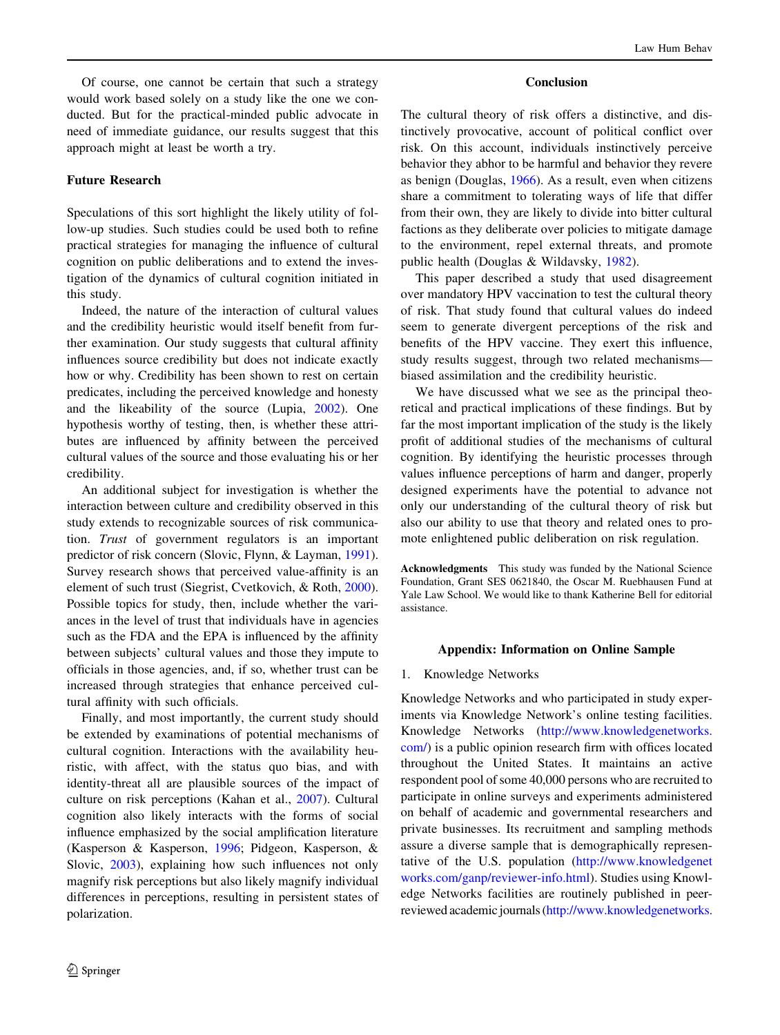Of course, one cannot be certain that such a strategy would work based solely on a study like the one we conducted. But for the practical-minded public advocate in need of immediate guidance, our results suggest that this approach might at least be worth a try.

# Future Research

Speculations of this sort highlight the likely utility of follow-up studies. Such studies could be used both to refine practical strategies for managing the influence of cultural cognition on public deliberations and to extend the investigation of the dynamics of cultural cognition initiated in this study.

Indeed, the nature of the interaction of cultural values and the credibility heuristic would itself benefit from further examination. Our study suggests that cultural affinity influences source credibility but does not indicate exactly how or why. Credibility has been shown to rest on certain predicates, including the perceived knowledge and honesty and the likeability of the source (Lupia, [2002](#page-15-0)). One hypothesis worthy of testing, then, is whether these attributes are influenced by affinity between the perceived cultural values of the source and those evaluating his or her credibility.

An additional subject for investigation is whether the interaction between culture and credibility observed in this study extends to recognizable sources of risk communication. Trust of government regulators is an important predictor of risk concern (Slovic, Flynn, & Layman, [1991](#page-15-0)). Survey research shows that perceived value-affinity is an element of such trust (Siegrist, Cvetkovich, & Roth, [2000](#page-15-0)). Possible topics for study, then, include whether the variances in the level of trust that individuals have in agencies such as the FDA and the EPA is influenced by the affinity between subjects' cultural values and those they impute to officials in those agencies, and, if so, whether trust can be increased through strategies that enhance perceived cultural affinity with such officials.

Finally, and most importantly, the current study should be extended by examinations of potential mechanisms of cultural cognition. Interactions with the availability heuristic, with affect, with the status quo bias, and with identity-threat all are plausible sources of the impact of culture on risk perceptions (Kahan et al., [2007\)](#page-15-0). Cultural cognition also likely interacts with the forms of social influence emphasized by the social amplification literature (Kasperson & Kasperson, [1996;](#page-15-0) Pidgeon, Kasperson, & Slovic, [2003](#page-15-0)), explaining how such influences not only magnify risk perceptions but also likely magnify individual differences in perceptions, resulting in persistent states of polarization.

#### Conclusion

The cultural theory of risk offers a distinctive, and distinctively provocative, account of political conflict over risk. On this account, individuals instinctively perceive behavior they abhor to be harmful and behavior they revere as benign (Douglas, [1966](#page-14-0)). As a result, even when citizens share a commitment to tolerating ways of life that differ from their own, they are likely to divide into bitter cultural factions as they deliberate over policies to mitigate damage to the environment, repel external threats, and promote public health (Douglas & Wildavsky, [1982\)](#page-14-0).

This paper described a study that used disagreement over mandatory HPV vaccination to test the cultural theory of risk. That study found that cultural values do indeed seem to generate divergent perceptions of the risk and benefits of the HPV vaccine. They exert this influence, study results suggest, through two related mechanisms biased assimilation and the credibility heuristic.

We have discussed what we see as the principal theoretical and practical implications of these findings. But by far the most important implication of the study is the likely profit of additional studies of the mechanisms of cultural cognition. By identifying the heuristic processes through values influence perceptions of harm and danger, properly designed experiments have the potential to advance not only our understanding of the cultural theory of risk but also our ability to use that theory and related ones to promote enlightened public deliberation on risk regulation.

Acknowledgments This study was funded by the National Science Foundation, Grant SES 0621840, the Oscar M. Ruebhausen Fund at Yale Law School. We would like to thank Katherine Bell for editorial assistance.

#### Appendix: Information on Online Sample

# 1. Knowledge Networks

Knowledge Networks and who participated in study experiments via Knowledge Network's online testing facilities. Knowledge Networks [\(http://www.knowledgenetworks.](http://www.knowledgenetworks.com/) [com/](http://www.knowledgenetworks.com/)) is a public opinion research firm with offices located throughout the United States. It maintains an active respondent pool of some 40,000 persons who are recruited to participate in online surveys and experiments administered on behalf of academic and governmental researchers and private businesses. Its recruitment and sampling methods assure a diverse sample that is demographically representative of the U.S. population [\(http://www.knowledgenet](http://www.knowledgenetworks.com/ganp/reviewer-info.html) [works.com/ganp/reviewer-info.html\)](http://www.knowledgenetworks.com/ganp/reviewer-info.html). Studies using Knowledge Networks facilities are routinely published in peerreviewed academic journals [\(http://www.knowledgenetworks.](http://www.knowledgenetworks.com/ganp/docs/KN%20Bibliography%20and%20Journals%20List%20-%203-2-09.pdf)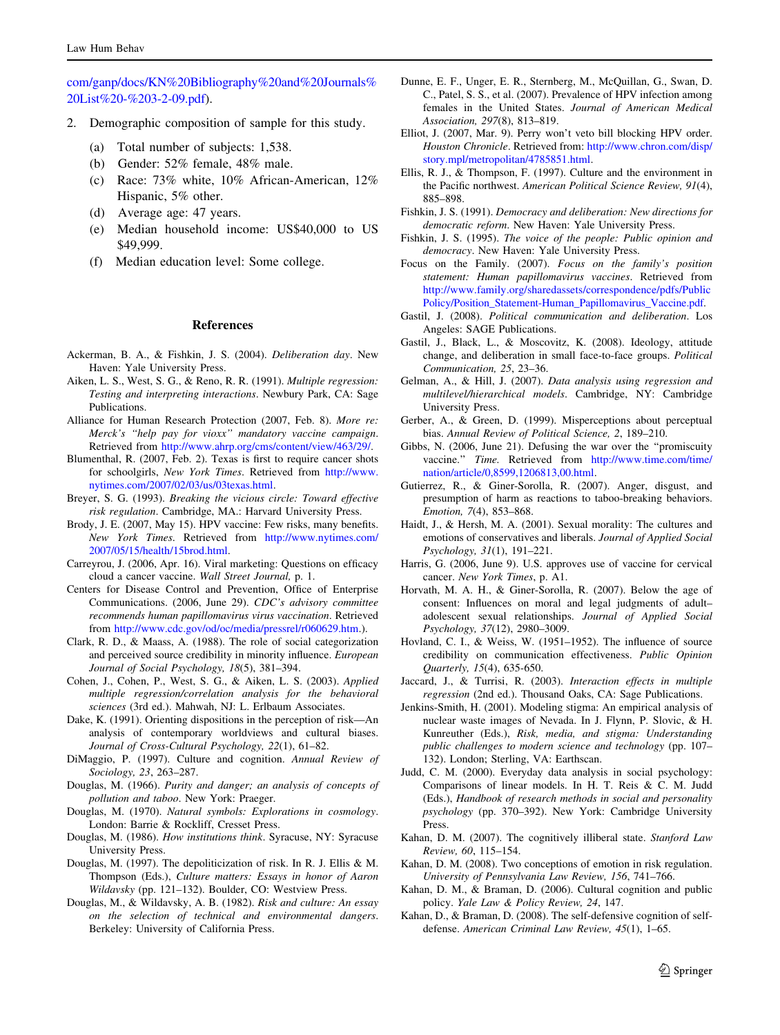[com/ganp/docs/KN%20Bibliography%20and%20Journals%](http://www.knowledgenetworks.com/ganp/docs/KN%20Bibliography%20and%20Journals%20List%20-%203-2-09.pdf) [20List%20-%203-2-09.pdf\)](http://www.knowledgenetworks.com/ganp/docs/KN%20Bibliography%20and%20Journals%20List%20-%203-2-09.pdf).

- 2. Demographic composition of sample for this study.
	- (a) Total number of subjects: 1,538.
	- (b) Gender: 52% female, 48% male.
	- (c) Race: 73% white, 10% African-American, 12% Hispanic, 5% other.
	- (d) Average age: 47 years.
	- (e) Median household income: US\$40,000 to US \$49,999.
	- (f) Median education level: Some college.

#### References

- Ackerman, B. A., & Fishkin, J. S. (2004). Deliberation day. New Haven: Yale University Press.
- Aiken, L. S., West, S. G., & Reno, R. R. (1991). Multiple regression: Testing and interpreting interactions. Newbury Park, CA: Sage Publications.
- Alliance for Human Research Protection (2007, Feb. 8). More re: Merck's ''help pay for vioxx'' mandatory vaccine campaign. Retrieved from <http://www.ahrp.org/cms/content/view/463/29/>.
- Blumenthal, R. (2007, Feb. 2). Texas is first to require cancer shots for schoolgirls, New York Times. Retrieved from [http://www.](http://www.nytimes.com/2007/02/03/us/03texas.html) [nytimes.com/2007/02/03/us/03texas.html.](http://www.nytimes.com/2007/02/03/us/03texas.html)
- Breyer, S. G. (1993). Breaking the vicious circle: Toward effective risk regulation. Cambridge, MA.: Harvard University Press.
- Brody, J. E. (2007, May 15). HPV vaccine: Few risks, many benefits. New York Times. Retrieved from [http://www.nytimes.com/](http://www.nytimes.com/2007/05/15/health/15brod.html) [2007/05/15/health/15brod.html.](http://www.nytimes.com/2007/05/15/health/15brod.html)
- Carreyrou, J. (2006, Apr. 16). Viral marketing: Questions on efficacy cloud a cancer vaccine. Wall Street Journal, p. 1.
- Centers for Disease Control and Prevention, Office of Enterprise Communications. (2006, June 29). CDC's advisory committee recommends human papillomavirus virus vaccination. Retrieved from [http://www.cdc.gov/od/oc/media/pressrel/r060629.htm.](http://www.cdc.gov/od/oc/media/pressrel/r060629.htm)).
- Clark, R. D., & Maass, A. (1988). The role of social categorization and perceived source credibility in minority influence. European Journal of Social Psychology, 18(5), 381–394.
- Cohen, J., Cohen, P., West, S. G., & Aiken, L. S. (2003). Applied multiple regression/correlation analysis for the behavioral sciences (3rd ed.). Mahwah, NJ: L. Erlbaum Associates.
- Dake, K. (1991). Orienting dispositions in the perception of risk—An analysis of contemporary worldviews and cultural biases. Journal of Cross-Cultural Psychology, 22(1), 61–82.
- DiMaggio, P. (1997). Culture and cognition. Annual Review of Sociology, 23, 263–287.
- Douglas, M. (1966). Purity and danger; an analysis of concepts of pollution and taboo. New York: Praeger.
- Douglas, M. (1970). Natural symbols: Explorations in cosmology. London: Barrie & Rockliff, Cresset Press.
- Douglas, M. (1986). How institutions think. Syracuse, NY: Syracuse University Press.
- Douglas, M. (1997). The depoliticization of risk. In R. J. Ellis & M. Thompson (Eds.), Culture matters: Essays in honor of Aaron Wildavsky (pp. 121–132). Boulder, CO: Westview Press.
- <span id="page-14-0"></span>Douglas, M., & Wildavsky, A. B. (1982). Risk and culture: An essay on the selection of technical and environmental dangers. Berkeley: University of California Press.
- Dunne, E. F., Unger, E. R., Sternberg, M., McQuillan, G., Swan, D. C., Patel, S. S., et al. (2007). Prevalence of HPV infection among females in the United States. Journal of American Medical Association, 297(8), 813–819.
- Elliot, J. (2007, Mar. 9). Perry won't veto bill blocking HPV order. Houston Chronicle. Retrieved from: [http://www.chron.com/disp/](http://www.chron.com/disp/story.mpl/metropolitan/4785851.html) [story.mpl/metropolitan/4785851.html](http://www.chron.com/disp/story.mpl/metropolitan/4785851.html).
- Ellis, R. J., & Thompson, F. (1997). Culture and the environment in the Pacific northwest. American Political Science Review, 91(4), 885–898.
- Fishkin, J. S. (1991). Democracy and deliberation: New directions for democratic reform. New Haven: Yale University Press.
- Fishkin, J. S. (1995). The voice of the people: Public opinion and democracy. New Haven: Yale University Press.
- Focus on the Family. (2007). Focus on the family's position statement: Human papillomavirus vaccines. Retrieved from [http://www.family.org/sharedassets/correspondence/pdfs/Public](http://www.family.org/sharedassets/correspondence/pdfs/PublicPolicy/Position_Statement-Human_Papillomavirus_Vaccine.pdf) [Policy/Position\\_Statement-Human\\_Papillomavirus\\_Vaccine.pdf](http://www.family.org/sharedassets/correspondence/pdfs/PublicPolicy/Position_Statement-Human_Papillomavirus_Vaccine.pdf).
- Gastil, J. (2008). Political communication and deliberation. Los Angeles: SAGE Publications.
- Gastil, J., Black, L., & Moscovitz, K. (2008). Ideology, attitude change, and deliberation in small face-to-face groups. Political Communication, 25, 23–36.
- Gelman, A., & Hill, J. (2007). Data analysis using regression and multilevel/hierarchical models. Cambridge, NY: Cambridge University Press.
- Gerber, A., & Green, D. (1999). Misperceptions about perceptual bias. Annual Review of Political Science, 2, 189–210.
- Gibbs, N. (2006, June 21). Defusing the war over the ''promiscuity vaccine.'' Time. Retrieved from [http://www.time.com/time/](http://www.time.com/time/nation/article/0,8599,1206813,00.html) [nation/article/0,8599,1206813,00.html.](http://www.time.com/time/nation/article/0,8599,1206813,00.html)
- Gutierrez, R., & Giner-Sorolla, R. (2007). Anger, disgust, and presumption of harm as reactions to taboo-breaking behaviors. Emotion, 7(4), 853–868.
- Haidt, J., & Hersh, M. A. (2001). Sexual morality: The cultures and emotions of conservatives and liberals. Journal of Applied Social Psychology, 31(1), 191–221.
- Harris, G. (2006, June 9). U.S. approves use of vaccine for cervical cancer. New York Times, p. A1.
- Horvath, M. A. H., & Giner-Sorolla, R. (2007). Below the age of consent: Influences on moral and legal judgments of adult– adolescent sexual relationships. Journal of Applied Social Psychology, 37(12), 2980–3009.
- Hovland, C. I., & Weiss, W. (1951–1952). The influence of source credibility on communication effectiveness. Public Opinion Quarterly, 15(4), 635-650.
- Jaccard, J., & Turrisi, R. (2003). Interaction effects in multiple regression (2nd ed.). Thousand Oaks, CA: Sage Publications.
- Jenkins-Smith, H. (2001). Modeling stigma: An empirical analysis of nuclear waste images of Nevada. In J. Flynn, P. Slovic, & H. Kunreuther (Eds.), Risk, media, and stigma: Understanding public challenges to modern science and technology (pp. 107– 132). London; Sterling, VA: Earthscan.
- Judd, C. M. (2000). Everyday data analysis in social psychology: Comparisons of linear models. In H. T. Reis & C. M. Judd (Eds.), Handbook of research methods in social and personality psychology (pp. 370–392). New York: Cambridge University Press.
- Kahan, D. M. (2007). The cognitively illiberal state. Stanford Law Review, 60, 115–154.
- Kahan, D. M. (2008). Two conceptions of emotion in risk regulation. University of Pennsylvania Law Review, 156, 741–766.
- Kahan, D. M., & Braman, D. (2006). Cultural cognition and public policy. Yale Law & Policy Review, 24, 147.
- Kahan, D., & Braman, D. (2008). The self-defensive cognition of selfdefense. American Criminal Law Review, 45(1), 1–65.